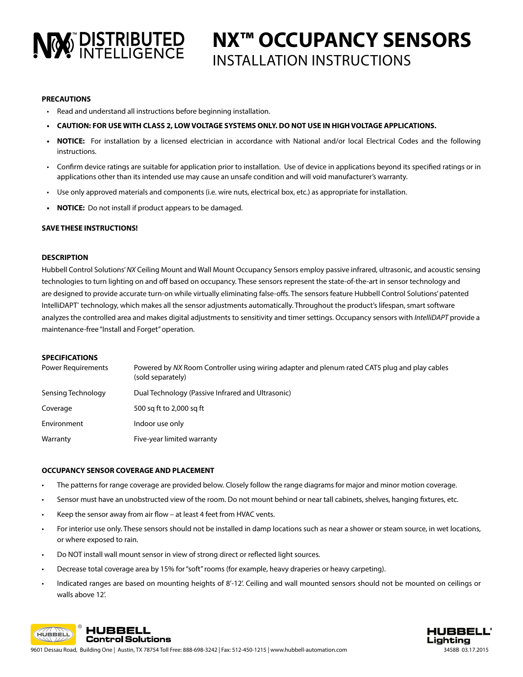# NO DISTRIBUTED

# **NX™ OCCUPANCY SENSORS** INSTALLATION INSTRUCTIONS

# **PRECAUTIONS**

- Read and understand all instructions before beginning installation.
- **• CAUTION: FOR USE WITH CLASS 2, LOW VOLTAGE SYSTEMS ONLY. DO NOT USE IN HIGH VOLTAGE APPLICATIONS.**
- **• NOTICE:** For installation by a licensed electrician in accordance with National and/or local Electrical Codes and the following instructions.
- Confirm device ratings are suitable for application prior to installation. Use of device in applications beyond its specified ratings or in applications other than its intended use may cause an unsafe condition and will void manufacturer's warranty.
- Use only approved materials and components (i.e. wire nuts, electrical box, etc.) as appropriate for installation.
- **• NOTICE:** Do not install if product appears to be damaged.

# **SAVE THESE INSTRUCTIONS!**

### **DESCRIPTION**

Hubbell Control Solutions' *NX* Ceiling Mount and Wall Mount Occupancy Sensors employ passive infrared, ultrasonic, and acoustic sensing technologies to turn lighting on and off based on occupancy. These sensors represent the state-of-the-art in sensor technology and are designed to provide accurate turn-on while virtually eliminating false-offs. The sensors feature Hubbell Control Solutions' patented IntelliDAPT<sup>®</sup> technology, which makes all the sensor adjustments automatically. Throughout the product's lifespan, smart software analyzes the controlled area and makes digital adjustments to sensitivity and timer settings. Occupancy sensors with *IntelliDAPT* provide a maintenance-free "Install and Forget" operation.

#### **SPECIFICATIONS**

| <b>Power Requirements</b> | Powered by NX Room Controller using wiring adapter and plenum rated CAT5 plug and play cables<br>(sold separately) |
|---------------------------|--------------------------------------------------------------------------------------------------------------------|
| Sensing Technology        | Dual Technology (Passive Infrared and Ultrasonic)                                                                  |
| Coverage                  | 500 sq ft to 2,000 sq ft                                                                                           |
| Environment               | Indoor use only                                                                                                    |
| Warranty                  | Five-year limited warranty                                                                                         |

#### **OCCUPANCY SENSOR COVERAGE AND PLACEMENT**

- The patterns for range coverage are provided below. Closely follow the range diagrams for major and minor motion coverage.
- Sensor must have an unobstructed view of the room. Do not mount behind or near tall cabinets, shelves, hanging fixtures, etc.
- Keep the sensor away from air flow at least 4 feet from HVAC vents.
- For interior use only. These sensors should not be installed in damp locations such as near a shower or steam source, in wet locations, or where exposed to rain.
- Do NOT install wall mount sensor in view of strong direct or reflected light sources.
- Decrease total coverage area by 15% for "soft" rooms (for example, heavy draperies or heavy carpeting).
- Indicated ranges are based on mounting heights of 8'-12'. Ceiling and wall mounted sensors should not be mounted on ceilings or walls above 12'.





9601 Dessau Road, Building One | Austin, TX 78754 Toll Free: 888-698-3242 | Fax: 512-450-1215 | www.hubbell-automation.com 3458B 03.17.2015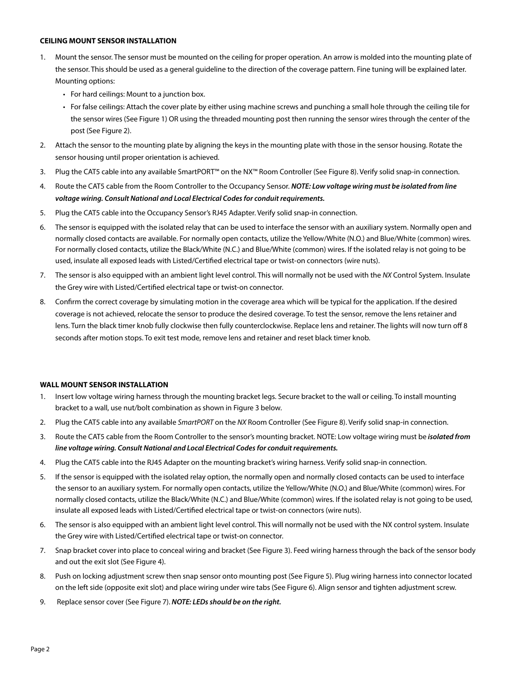### **CEILING MOUNT SENSOR INSTALLATION**

- 1. Mount the sensor. The sensor must be mounted on the ceiling for proper operation. An arrow is molded into the mounting plate of the sensor. This should be used as a general guideline to the direction of the coverage pattern. Fine tuning will be explained later. Mounting options:
	- For hard ceilings: Mount to a junction box.
	- For false ceilings: Attach the cover plate by either using machine screws and punching a small hole through the ceiling tile for the sensor wires (See Figure 1) OR using the threaded mounting post then running the sensor wires through the center of the post (See Figure 2).
- 2. Attach the sensor to the mounting plate by aligning the keys in the mounting plate with those in the sensor housing. Rotate the sensor housing until proper orientation is achieved.
- 3. Plug the CAT5 cable into any available SmartPORT™ on the NX™ Room Controller (See Figure 8). Verify solid snap-in connection.
- 4. Route the CAT5 cable from the Room Controller to the Occupancy Sensor. *NOTE: Low voltage wiring must be isolated from line voltage wiring. Consult National and Local Electrical Codes for conduit requirements.*
- 5. Plug the CAT5 cable into the Occupancy Sensor's RJ45 Adapter. Verify solid snap-in connection.
- 6. The sensor is equipped with the isolated relay that can be used to interface the sensor with an auxiliary system. Normally open and normally closed contacts are available. For normally open contacts, utilize the Yellow/White (N.O.) and Blue/White (common) wires. For normally closed contacts, utilize the Black/White (N.C.) and Blue/White (common) wires. If the isolated relay is not going to be used, insulate all exposed leads with Listed/Certified electrical tape or twist-on connectors (wire nuts).
- 7. The sensor is also equipped with an ambient light level control. This will normally not be used with the *NX* Control System. Insulate the Grey wire with Listed/Certified electrical tape or twist-on connector.
- 8. Confirm the correct coverage by simulating motion in the coverage area which will be typical for the application. If the desired coverage is not achieved, relocate the sensor to produce the desired coverage. To test the sensor, remove the lens retainer and lens. Turn the black timer knob fully clockwise then fully counterclockwise. Replace lens and retainer. The lights will now turn off 8 seconds after motion stops. To exit test mode, remove lens and retainer and reset black timer knob.

# **WALL MOUNT SENSOR INSTALLATION**

- 1. Insert low voltage wiring harness through the mounting bracket legs. Secure bracket to the wall or ceiling. To install mounting bracket to a wall, use nut/bolt combination as shown in Figure 3 below.
- 2. Plug the CAT5 cable into any available *SmartPORT* on the *NX* Room Controller (See Figure 8). Verify solid snap-in connection.
- 3. Route the CAT5 cable from the Room Controller to the sensor's mounting bracket. NOTE: Low voltage wiring must be *isolated from line voltage wiring. Consult National and Local Electrical Codes for conduit requirements.*
- 4. Plug the CAT5 cable into the RJ45 Adapter on the mounting bracket's wiring harness. Verify solid snap-in connection.
- 5. If the sensor is equipped with the isolated relay option, the normally open and normally closed contacts can be used to interface the sensor to an auxiliary system. For normally open contacts, utilize the Yellow/White (N.O.) and Blue/White (common) wires. For normally closed contacts, utilize the Black/White (N.C.) and Blue/White (common) wires. If the isolated relay is not going to be used, insulate all exposed leads with Listed/Certified electrical tape or twist-on connectors (wire nuts).
- 6. The sensor is also equipped with an ambient light level control. This will normally not be used with the NX control system. Insulate the Grey wire with Listed/Certified electrical tape or twist-on connector.
- 7. Snap bracket cover into place to conceal wiring and bracket (See Figure 3). Feed wiring harness through the back of the sensor body and out the exit slot (See Figure 4).
- 8. Push on locking adjustment screw then snap sensor onto mounting post (See Figure 5). Plug wiring harness into connector located on the left side (opposite exit slot) and place wiring under wire tabs (See Figure 6). Align sensor and tighten adjustment screw.
- 9. Replace sensor cover (See Figure 7). *NOTE: LEDs should be on the right.*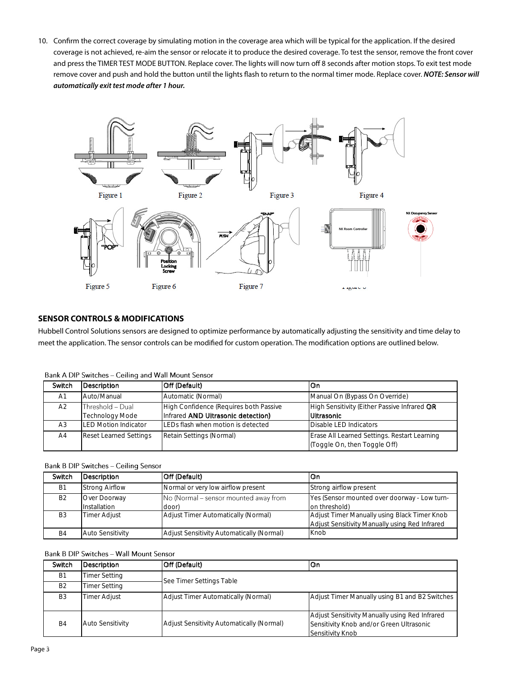10. Confirm the correct coverage by simulating motion in the coverage area which will be typical for the application. If the desired coverage is not achieved, re-aim the sensor or relocate it to produce the desired coverage. To test the sensor, remove the front cover and press the TIMER TEST MODE BUTTON. Replace cover. The lights will now turn off 8 seconds after motion stops. To exit test mode remove cover and push and hold the button until the lights flash to return to the normal timer mode. Replace cover. *NOTE: Sensor will automatically exit test mode after 1 hour.*



# **SENSOR CONTROLS & MODIFICATIONS**

Hubbell Control Solutions sensors are designed to optimize performance by automatically adjusting the sensitivity and time delay to meet the application. The sensor controls can be modified for custom operation. The modification options are outlined below.

| Bank A DIP Switches – Ceiling and Wall Mount Sensor |                                            |                                                                              |                                                                              |  |
|-----------------------------------------------------|--------------------------------------------|------------------------------------------------------------------------------|------------------------------------------------------------------------------|--|
| Switch                                              | Description                                | Off (Default)                                                                | lOn.                                                                         |  |
| A <sub>1</sub>                                      | Auto/Manual                                | Automatic (Normal)                                                           | Manual On (Bypass On Override)                                               |  |
| A2                                                  | Threshold - Dual<br><b>Technology Mode</b> | High Confidence (Requires both Passive<br>Infrared AND Ultrasonic detection) | High Sensitivity (Either Passive Infrared OR<br><b>Ultrasonic</b>            |  |
| A3                                                  | <b>LED Motion Indicator</b>                | LEDs flash when motion is detected                                           | Disable LED Indicators                                                       |  |
| A <sub>4</sub>                                      | <b>Reset Learned Settings</b>              | Retain Settings (Normal)                                                     | Erase All Learned Settings. Restart Learning<br>(Toggle On, then Toggle Off) |  |

 $L_A$  DID Codes  $\frac{1}{2}$  M/<sub>2</sub> II KA  $\sim$   $\cdot$  $\overline{a}$ 

## Bank B DIP Switches - Ceiling Sensor

| Switch         | Description                  | Off (Default)                                  | lOn.                                                                                           |
|----------------|------------------------------|------------------------------------------------|------------------------------------------------------------------------------------------------|
| <b>B1</b>      | <b>Strong Airflow</b>        | Normal or very low airflow present             | Strong airflow present                                                                         |
| <b>B2</b>      | Over Doorway<br>Installation | No (Normal – sensor mounted away from<br>door) | Yes (Sensor mounted over doorway - Low turn-<br>on threshold)                                  |
| B <sub>3</sub> | <b>Timer Adjust</b>          | Adjust Timer Automatically (Normal)            | Adjust Timer Manually using Black Timer Knob<br>Adjust Sensitivity Manually using Red Infrared |
| B4             | <b>Auto Sensitivity</b>      | Adjust Sensitivity Automatically (Normal)      | Knob                                                                                           |

# Bank B DIP Switches - Wall Mount Sensor

| Switch         | Description             | Off (Default)                                    | On                                                                                                             |  |
|----------------|-------------------------|--------------------------------------------------|----------------------------------------------------------------------------------------------------------------|--|
| <b>B1</b>      | Timer Setting           |                                                  |                                                                                                                |  |
| B <sub>2</sub> | Timer Setting           | See Timer Settings Table                         |                                                                                                                |  |
| B <sub>3</sub> | Timer Adjust            | <b>Adjust Timer Automatically (Normal)</b>       | Adjust Timer Manually using B1 and B2 Switches                                                                 |  |
| B <sub>4</sub> | <b>Auto Sensitivity</b> | <b>Adjust Sensitivity Automatically (Normal)</b> | Adjust Sensitivity Manually using Red Infrared<br>Sensitivity Knob and/or Green Ultrasonic<br>Sensitivity Knob |  |